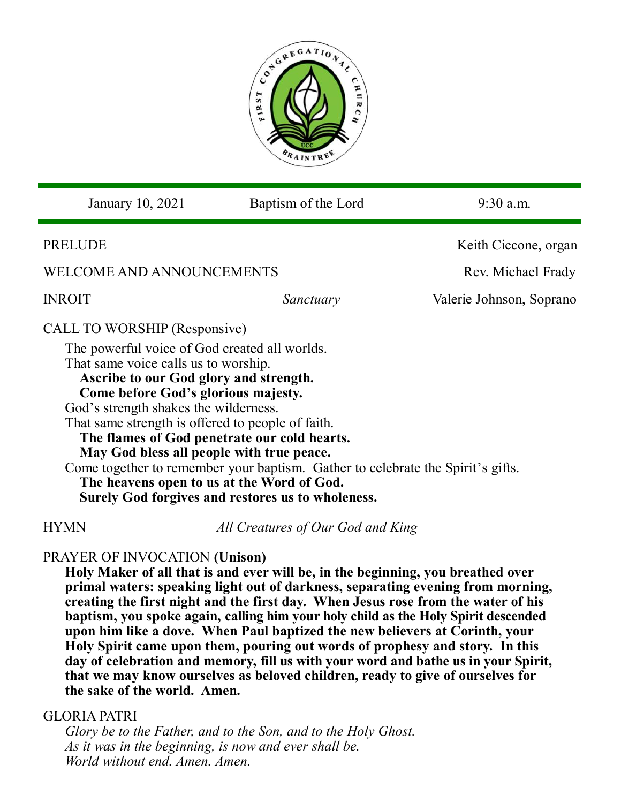

| January 10, 2021                                                                                                                                                                                                                                                                                                                                                                                                                                                                                                                                                                        | Baptism of the Lord | $9:30$ a.m.              |
|-----------------------------------------------------------------------------------------------------------------------------------------------------------------------------------------------------------------------------------------------------------------------------------------------------------------------------------------------------------------------------------------------------------------------------------------------------------------------------------------------------------------------------------------------------------------------------------------|---------------------|--------------------------|
| <b>PRELUDE</b>                                                                                                                                                                                                                                                                                                                                                                                                                                                                                                                                                                          |                     | Keith Ciccone, organ     |
| <b>WELCOME AND ANNOUNCEMENTS</b>                                                                                                                                                                                                                                                                                                                                                                                                                                                                                                                                                        |                     | Rev. Michael Frady       |
| <b>INROIT</b>                                                                                                                                                                                                                                                                                                                                                                                                                                                                                                                                                                           | Sanctuary           | Valerie Johnson, Soprano |
| CALL TO WORSHIP (Responsive)<br>The powerful voice of God created all worlds.<br>That same voice calls us to worship.<br>Ascribe to our God glory and strength.<br>Come before God's glorious majesty.<br>God's strength shakes the wilderness.<br>That same strength is offered to people of faith.<br>The flames of God penetrate our cold hearts.<br>May God bless all people with true peace.<br>Come together to remember your baptism. Gather to celebrate the Spirit's gifts.<br>The heavens open to us at the Word of God.<br>Surely God forgives and restores us to wholeness. |                     |                          |

HYMN *All Creatures of Our God and King*

# PRAYER OF INVOCATION **(Unison)**

**Holy Maker of all that is and ever will be, in the beginning, you breathed over primal waters: speaking light out of darkness, separating evening from morning, creating the first night and the first day. When Jesus rose from the water of his baptism, you spoke again, calling him your holy child as the Holy Spirit descended upon him like a dove. When Paul baptized the new believers at Corinth, your Holy Spirit came upon them, pouring out words of prophesy and story. In this day of celebration and memory, fill us with your word and bathe us in your Spirit, that we may know ourselves as beloved children, ready to give of ourselves for the sake of the world. Amen.**

# GLORIA PATRI

*Glory be to the Father, and to the Son, and to the Holy Ghost. As it was in the beginning, is now and ever shall be. World without end. Amen. Amen.*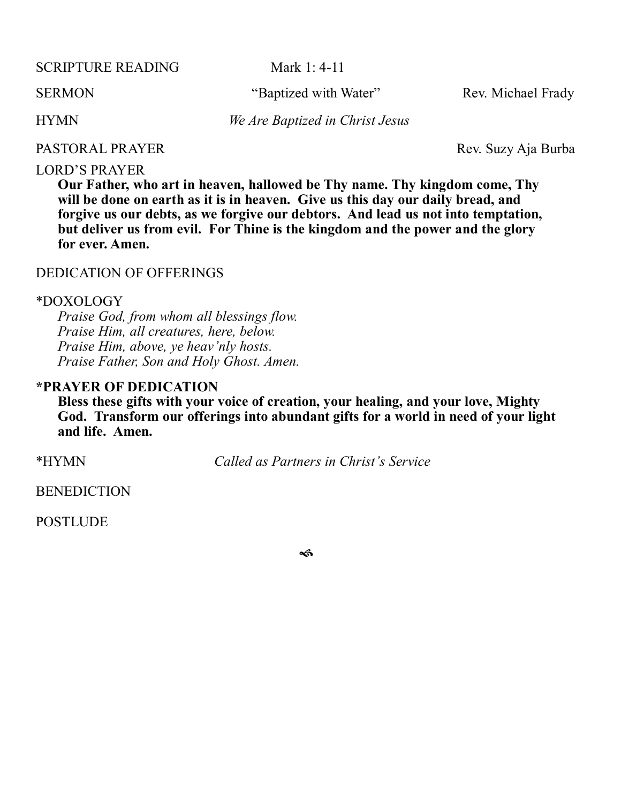SCRIPTURE READING Mark 1: 4-11

HYMN *We Are Baptized in Christ Jesus*

SERMON "Baptized with Water" Rev. Michael Frady

PASTORAL PRAYER Rev. Suzy Aja Burba

#### LORD'S PRAYER

**Our Father, who art in heaven, hallowed be Thy name. Thy kingdom come, Thy will be done on earth as it is in heaven. Give us this day our daily bread, and forgive us our debts, as we forgive our debtors. And lead us not into temptation, but deliver us from evil. For Thine is the kingdom and the power and the glory for ever. Amen.**

### DEDICATION OF OFFERINGS

#### \*DOXOLOGY

*Praise God, from whom all blessings flow. Praise Him, all creatures, here, below. Praise Him, above, ye heav'nly hosts. Praise Father, Son and Holy Ghost. Amen.*

### **\*PRAYER OF DEDICATION**

**Bless these gifts with your voice of creation, your healing, and your love, Mighty God. Transform our offerings into abundant gifts for a world in need of your light and life. Amen.** 

\*HYMN *Called as Partners in Christ's Service*

**BENEDICTION** 

**POSTLUDE** 

ิช